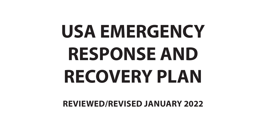# **USA EMERGENCY RESPONSE AND RECOVERY PLAN**

**REVIEWED/REVISED JANUARY 2022**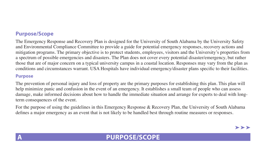## **Purpose/Scope**

The Emergency Response and Recovery Plan is designed for the University of South Alabama by the University Safety and Environmental Compliance Committee to provide a guide for potential emergency responses, recovery actions and mitigation programs. The primary objective is to protect students, employees, visitors and the University's properties from a spectrum of possible emergencies and disasters. The Plan does not cover every potential disaster/emergency, but rather those that are of major concern on a typical university campus in a coastal location. Responses may vary from the plan as conditions and circumstances warrant. USA Hospitals have individual emergency/disaster plans specific to their facilities.

#### **Purpose**

The prevention of personal injury and loss of property are the primary purposes for establishing this plan. This plan will help minimize panic and confusion in the event of an emergency. It establishes a small team of people who can assess damage, make informed decisions about how to handle the immediate situation and arrange for experts to deal with longterm consequences of the event.

For the purpose of using the guidelines in this Emergency Response & Recovery Plan, the University of South Alabama defines a major emergency as an event that is not likely to be handled best through routine measures or responses.

## **A PURPOSE/SCOPE**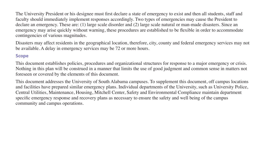The University President or his designee must first declare a state of emergency to exist and then all students, staff and faculty should immediately implement responses accordingly. Two types of emergencies may cause the President to declare an emergency. These are: (1) large scale disorder and (2) large scale natural or man-made disasters. Since an emergency may arise quickly without warning, these procedures are established to be flexible in order to accommodate contingencies of various magnitudes.

Disasters may affect residents in the geographical location, therefore, city, county and federal emergency services may not be available. A delay in emergency services may be 72 or more hours.

## **Scope**

This document establishes policies, procedures and organizational structures for response to a major emergency or crisis. Nothing in this plan will be construed in a manner that limits the use of good judgment and common sense in matters not foreseen or covered by the elements of this document.

This document addresses the University of South Alabama campuses. To supplement this document, off campus locations and facilities have prepared similar emergency plans. Individual departments of the University, such as University Police, Central Utilities, Maintenance, Housing, Mitchell Center, Safety and Environmental Compliance maintain department specific emergency response and recovery plans as necessary to ensure the safety and well being of the campus community and campus operations.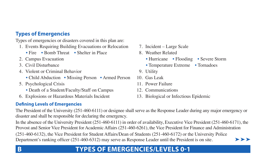## **Types of Emergencies**

Types of emergencies or disasters covered in this plan are:

- 1. Events Requiring Building Evacuations or Relocation
	- Fire Bomb Threat Shelter in Place
- 
- 
- 4. Violent or Criminal Behavior 9. Utility
	- Child Abduction Missing Person Armed Person
- 5. Psychological Crisis
	- Death of a Student/Faculty/Staff on Campus
- 6. Explosions or Hazardous Materials Incident

## **Defning Levels of Emergencies**

- 7. Incident Large Scale
- 8. Weather Related
- 2. Campus Evacuation **Filter Flooding Severe Storm Hurricane** Flooding Severe Storm
- 3. Civil Disturbance Temperature Extreme Tornadoes
	-
	- 10. Gas Leak
	- 11 Power Failure
	- 12. Communications
	- 13. Biological or Infectious Epidemic

The President of the University (251-460-6111) or designee shall serve as the Response Leader during any major emergency or disaster and shall be responsible for declaring the emergency.

In the absence of the University President (251-460-6111) in order of availability, Executive Vice President (251-460-6171), the Provost and Senior Vice President for Academic Affairs (251-460-6261), the Vice President for Finance and Administration (251-460-6132), the Vice President for Student Affairs/Dean of Students (251-460-6172) or the University Police Department's ranking officer (251-460-6312) may serve as Response Leader until the President is on site.  $\blacktriangleright\blacktriangleright\blacktriangleright$ 

# **B** TYPES OF EMERGENCIES/LEVELS 0-1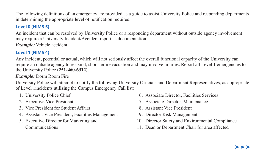The following definitions of an emergency are provided as a guide to assist University Police and responding departments in determining the appropriate level of notification required:

## **Level 0 (NIMS 5)**

An incident that can be resolved by University Police or a responding department without outside agency involvement may require a University Incident/Accident report as documentation.

*Example:* Vehicle accident

## **Level 1 (NIMS 4)**

Any incident, potential or actual, which will not seriously affect the overall functional capacity of the University can require an outside agency to respond, short-term evacuation and may involve injuries. Report all Level 1 emergencies to the University Police (**251-460-6312**).

*Example:* Dorm Room Fire

University Police will attempt to notify the following University Officials and Department Representatives, as appropriate, of Level 1incidents utilizing the Campus Emergency Call list:

- 
- 
- 3. Vice President for Student Affairs 8. Assistant Vice President
- 4. Assistant Vice President, Facilities Management 9. Director Risk Management
- 

- 1. University Police Chief 6. Associate Director, Facilities Services
- 2. Executive Vice President 2. Associate Director, Maintenance
	-
	-
- 5. Executive Director for Marketing and 10. Director Safety and Environmental Compliance
	- Communications 11. Dean or Department Chair for area affected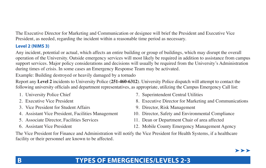The Executive Director for Marketing and Communication or designee will brief the President and Executive Vice President, as needed, regarding the incident within a reasonable time period as necessary.

## **Level 2 (NIMS 3)**

Any incident, potential or actual, which affects an entire building or group of buildings, which may disrupt the overall operation of the University. Outside emergency services will most likely be required in addition to assistance from campus support services. Major policy considerations and decisions will usually be required from the University's Administration during times of crisis. In some cases an Emergency Response Team may be activated.

Example: Building destroyed or heavily damaged by a tornado

Report any **Level 2** incidents to University Police (**251-460-6312**). University Police dispatch will attempt to contact the following university officials and department representatives, as appropriate, utilizing the Campus Emergency Call list:

- 
- 
- 3. Vice President for Student Affairs 9. Director, Risk Management
- 
- 
- 
- 1. University Police Chief 7. Superintendent Central Utilities
- 2. Executive Vice President 8. Executive Director for Marketing and Communications
	-
- 4. Assistant Vice President, Facilities Management 10. Director, Safety and Environmental Compliance
- 5. Associate Director, Facilities Services 11. Dean or Department Chair of area affected
- 6. Assistant Vice President 12. Mobile County Emergency Management Agency

The Vice President for Finance and Administration will notify the Vice President for Health Systems, if a healthcare facility or their personnel are known to be affected.

# **B TYPES OF EMERGENCIES/LEVELS 2-3**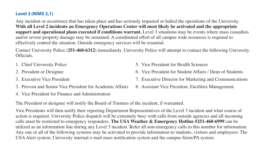## **Level 3 (NIMS 2,1)**

Any incident or occurrence that has taken place and has seriously impaired or halted the operations of the University. **With all Level 2 incidents an Emergency Operations Center will most likely be activated and the appropriate support and operational plans executed if conditions warrant.** Level 3 situations may be events where mass casualties and/or severe property damage may be sustained. A coordinated effort of all campus wide resources is required to effectively control the situation. Outside emergency services will be essential.

Contact University Police (**251-460-6312**) immediately. University Police will attempt to contact the following University Officials.

- 
- 
- 
- 3. Provost and Senior Vice President for Academic Affairs
- 4. Vice President for Finance and Administration
- 1. Chief University Police 5. Vice President for Health Sciences
- 2. President or Designee 6. Vice President for Student Affairs / Dean of Students
- 3. Executive Vice President 7. Executive Director for Marketing and Communications
	- 8. Assistant Vice President, Facilities Management

The President or designee will notify the Board of Trustees of the incident, if warranted.

Vice Presidents will then notify their reporting Department Representatives of the Level 3 incident and what course of action is required. University Police dispatch will be extremely busy with calls from outside agencies and all incoming calls must be restricted to emergency responders. **The USA Weather & Emergency Hotline #251-460-6999** can be utilized as an information line during any Level 3 incident. Refer all non-emergency calls to this number for information. Any one or all of the following systems may be activated to provide information to students, visitors and employees: The USAAlert system, University internal e-mail mass notification system and the campus Siren/PA system.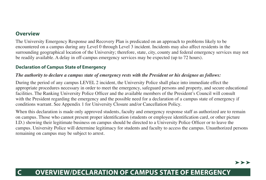## **Overview**

The University Emergency Response and Recovery Plan is predicated on an approach to problems likely to be encountered on a campus during any Level 0 through Level 3 incident. Incidents may also affect residents in the surrounding geographical location of the University; therefore, state, city, county and federal emergency services may not be readily available. A delay in off-campus emergency services may be expected (up to 72 hours).

## **Declaration of Campus State of Emergency**

#### *The authority to declare a campus state of emergency rests with the President or his designee as follows:*

During the period of any campus LEVEL 2 incident, the University Police shall place into immediate effect the appropriate procedures necessary in order to meet the emergency, safeguard persons and property, and secure educational facilities. The Ranking University Police Officer and the available members of the President's Council will consult with the President regarding the emergency and the possible need for a declaration of a campus state of emergency if conditions warrant. See Appendix 1 for University Closure and/or Cancellation Policy.

When this declaration is made only approved students, faculty and emergency response staff as authorized are to remain on campus. Those who cannot present proper identification (students or employee identification card, or other picture I.D.) showing their legitimate business on campus should be directed to a University Police Officer or to leave the campus. University Police will determine legitimacy for students and faculty to access the campus. Unauthorized persons remaining on campus may be subject to arrest.

# **C OVERVIEW/DECLARATION OF CAMPUS STATE OF EMERGENCY**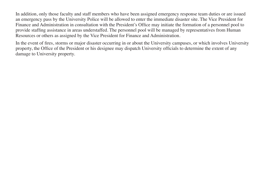In addition, only those faculty and staff members who have been assigned emergency response team duties or are issued an emergency pass by the University Police will be allowed to enter the immediate disaster site. The Vice President for Finance and Administration in consultation with the President's Office may initiate the formation of a personnel pool to provide staffing assistance in areas understaffed. The personnel pool will be managed by representatives from Human Resources or others as assigned by the Vice President for Finance and Administration.

In the event of fires, storms or major disaster occurring in or about the University campuses, or which involves University property, the Office of the President or his designee may dispatch University officials to determine the extent of any damage to University property.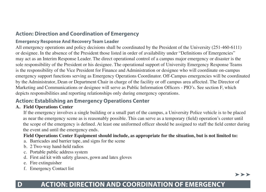## **Action: Direction and Coordination of Emergency**

## **Emergency Response And Recovery Team Leader**

All emergency operations and policy decisions shall be coordinated by the President of the University (251-460-6111) or designee. In the absence of the President those listed in order of availability under "Definitions of Emergencies" may act as an Interim Response Leader. The direct operational control of a campus major emergency or disaster is the sole responsibility of the President or his designee. The operational support of University Emergency Response Teams is the responsibility of the Vice President for Finance and Administration or designee who will coordinate on-campus emergency support functions serving as Emergency Operations Coordinator. Off-Campus emergencies will be coordinated by the Administrator, Dean or Department Chair in charge of the facility or off campus area affected. The Director of Marketing and Communications or designee will serve as Public Information Officers - PIO's. See section F, which depicts responsibilities and reporting relationships only during emergency operations.

## **Action: Establishing an Emergency Operations Center**

#### **A. Field Operations Center**

If the emergency involves a single building or a small part of the campus, a University Police vehicle is to be placed as near the emergency scene as is reasonably possible. This can serve as a temporary (field) operation's center until the scope of the emergency is defined. At least one uniformed officer should be assigned to staff the field center during the event and until the emergency ends.

## **Field Operations Center Equipment should include, as appropriate for the situation, but is not limited to:**

- a. Barricades and barrier tape, and signs for the scene
- b. 2 Two-way hand-held radios
- c. Portable public address system
- d. First aid kit with safety glasses, gown and latex gloves
- e. Fire extinguisher
- f. Emergency Contact list

#### $>$   $>$   $>$

# **D ACTION: DIRECTION AND COORDINATION OF EMERGENCY**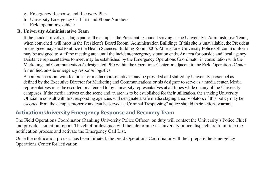- g. Emergency Response and Recovery Plan
- h. University Emergency Call List and Phone Numbers
- i. Field operations vehicle

## **B. University Administrative Team**

If the incident involves a large part of the campus, the President's Council serving as the University's Administrative Team, when convened, will meet in the President's Board Room (Administration Building). If this site is unavailable, the President or designee may elect to utilize the Health Sciences Building Room 3006. At least one University Police Officer in uniform may be assigned to staff the meeting area until the incident/emergency situation ends. An area for outside and local agency assistance representatives to meet may be established by the Emergency Operations Coordinator in consultation with the Marketing and Communications's designated PIO within the Operations Center or adjacent to the Field Operations Center for unified on-site emergency response logistics.

A conference room with facilities for media representatives may be provided and staffed by University personnel as defined by the Executive Director for Marketing and Communications or his designee to serve as a media center. Media representatives must be escorted or attended to by University representatives at all times while on any of the University campuses. If the media arrives on the scene and an area is to be established for their utilization, the ranking University Official in consult with first responding agencies will designate a safe media staging area. Violators of this policy may be escorted from the campus property and can be served a "Criminal Trespassing" notice should their actions warrant.

## **Activation: University Emergency Response and Recovery Team**

The Field Operations Coordinator (Ranking University Police Officer) on duty will contact the University's Police Chief and provide a situation report. The chief or designee will then determine if University police dispatch are to initiate the notification process and activate the Emergency Call List.

Once the notification process has been initiated, the Field Operations Coordinator will then prepare the Emergency Operations Center for activation.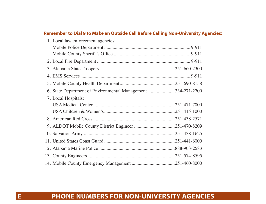## **Remember to Dial 9 to Make an Outside Call Before Calling Non-University Agencies:**

| 1. Local law enforcement agencies:                           |  |
|--------------------------------------------------------------|--|
|                                                              |  |
|                                                              |  |
|                                                              |  |
|                                                              |  |
|                                                              |  |
|                                                              |  |
| 6. State Department of Environmental Management 334-271-2700 |  |
| 7. Local Hospitals:                                          |  |
|                                                              |  |
|                                                              |  |
|                                                              |  |
|                                                              |  |
|                                                              |  |
|                                                              |  |
|                                                              |  |
|                                                              |  |
|                                                              |  |

# **E PHONE NUMBERS FOR NON-UNIVERSITY AGENCIES**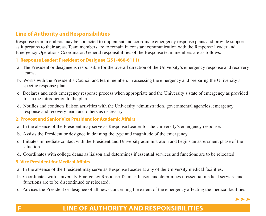## **Line of Authority and Responsibilities**

Response team members may be contacted to implement and coordinate emergency response plans and provide support as it pertains to their areas. Team members are to remain in constant communication with the Response Leader and Emergency Operations Coordinator. General responsibilities of the Response team members are as follows:

#### **1. Response Leader: President or Designee (251-460-6111)**

- a. The President or designee is responsible for the overall direction of the University's emergency response and recovery teams.
- b. Works with the President's Council and team members in assessing the emergency and preparing the University's specific response plan.
- c. Declares and ends emergency response process when appropriate and the University's state of emergency as provided for in the introduction to the plan.
- d. Notifies and conducts liaison activities with the University administration, governmental agencies, emergency response and recovery team and others as necessary.

#### **2. Provost and Senior Vice President for Academic Afairs**

- a. In the absence of the President may serve as Response Leader for the University's emergency response.
- b. Assists the President or designee in defining the type and magnitude of the emergency.
- c. Initiates immediate contact with the President and University administration and begins an assessment phase of the situation.
- d. Coordinates with college deans as liaison and determines if essential services and functions are to be relocated.

## **3. Vice President for Medical Afairs**

- a. In the absence of the President may serve as Response Leader at any of the University medical facilities.
- b. Coordinates with University Emergency Response Team as liaison and determines if essential medical services and functions are to be discontinued or relocated.
- c. Advises the President or designee of all news concerning the extent of the emergency affecting the medical facilities.

## **F LINE OF AUTHORITY AND RESPONSIBILITIES**

 $\blacktriangleright\blacktriangleright\blacktriangleright$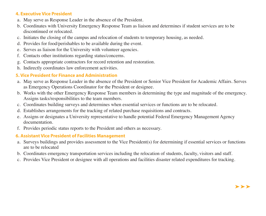## **4. Executive Vice President**

- a. May serve as Response Leader in the absence of the President.
- b. Coordinates with University Emergency Response Team as liaison and determines if student services are to be discontinued or relocated.
- c. Initiates the closing of the campus and relocation of students to temporary housing, as needed.
- d. Provides for food/perishables to be available during the event.
- e. Serves as liaison for the University with volunteer agencies.
- f. Contacts other institutions regarding status/concerns.
- g. Contacts appropriate contractors for record retention and restoration.
- h. Indirectly coordinates law enforcement activities.

## **5. Vice President for Finance and Administration**

- a. May serve as Response Leader in the absence of the President or Senior Vice President for Academic Affairs. Serves as Emergency Operations Coordinator for the President or designee.
- b. Works with the other Emergency Response Team members in determining the type and magnitude of the emergency. Assigns tasks/responsibilities to the team members.
- c. Coordinates building surveys and determines when essential services or functions are to be relocated.
- d. Establishes arrangements for the tracking of related purchase requisitions and contracts.
- e. Assigns or designates a University representative to handle potential Federal Emergency Management Agency documentation.
- f. Provides periodic status reports to the President and others as necessary.

## **6. Assistant Vice President of Facilities Management**

- a. Surveys buildings and provides assessment to the Vice President(s) for determining if essential services or functions are to be relocated
- b. Coordinates emergency transportation services including the relocation of students, faculty, visitors and staff.
- c. Provides Vice President or designee with all operations and facilities disaster related expenditures for tracking.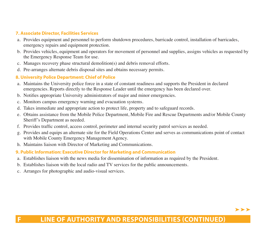## **7. Associate Director, Facilities Services**

- a. Provides equipment and personnel to perform shutdown procedures, barricade control, installation of barricades, emergency repairs and equipment protection.
- b. Provides vehicles, equipment and operators for movement of personnel and supplies, assigns vehicles as requested by the Emergency Response Team for use.
- c. Manages recovery phase structural demolition(s) and debris removal efforts.
- d. Pre-arranges alternate debris disposal sites and obtains necessary permits.

## **8. University Police Department: Chief of Police**

- a. Maintains the University police force in a state of constant readiness and supports the President in declared emergencies. Reports directly to the Response Leader until the emergency has been declared over.
- b. Notifies appropriate University administrators of major and minor emergencies.
- c. Monitors campus emergency warning and evacuation systems.
- d. Takes immediate and appropriate action to protect life, property and to safeguard records.
- e. Obtains assistance from the Mobile Police Department, Mobile Fire and Rescue Departments and/or Mobile County Sheriff's Department as needed.
- f. Provides traffic control, access control, perimeter and internal security patrol services as needed.
- g. Provides and equips an alternate site for the Field Operations Center and serves as communications point of contact with Mobile County Emergency Management Agency.
- h. Maintains liaison with Director of Marketing and Communications.

## **9. Public Information: Executive Director for Marketing and Communication**

- a. Establishes liaison with the news media for dissemination of information as required by the President.
- b. Establishes liaison with the local radio and TV services for the public announcements.
- c. Arranges for photographic and audio-visual services.

#### $\blacktriangleright\blacktriangleright\blacktriangleright$

# **F LINE OF AUTHORITY AND RESPONSIBILITIES (CONTINUED)**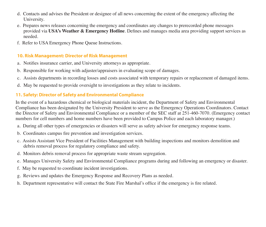- d. Contacts and advises the President or designee of all news concerning the extent of the emergency affecting the University.
- e. Prepares news releases concerning the emergency and coordinates any changes to prerecorded phone messages provided via **USA's Weather & Emergency Hotline**. Defines and manages media area providing support services as needed.
- f. Refer to USA Emergency Phone Queue Instructions.

## **10. Risk Management: Director of Risk Management**

- a. Notifies insurance carrier, and University attorneys as appropriate.
- b. Responsible for working with adjuster/appraisers in evaluating scope of damages.
- c. Assists departments in recording losses and costs associated with temporary repairs or replacement of damaged items.
- d. May be requested to provide oversight to investigations as they relate to incidents.

## **11. Safety: Director of Safety and Environmental Compliance**

In the event of a hazardous chemical or biological materials incident, the Department of Safety and Environmental Compliance has been designated by the University President to serve as the Emergency Operations Coordinators. Contact the Director of Safety and Environmental Compliance or a member of the SEC staff at 251-460-7070. (Emergency contact numbers for cell numbers and home numbers have been provided to Campus Police and each laboratory manager.)

- a. During all other types of emergencies or disasters will serve as safety advisor for emergency response teams.
- b. Coordinates campus fire prevention and investigation services.
- c. Assists Assistant Vice President of Facilities Management with building inspections and monitors demolition and debris removal process for regulatory compliance and safety.
- d. Monitors debris removal process for appropriate waste stream segregation.
- e. Manages University Safety and Environmental Compliance programs during and following an emergency or disaster.
- f. May be requested to coordinate incident investigations.
- g. Reviews and updates the Emergency Response and Recovery Plans as needed.
- h. Department representative will contact the State Fire Marshal's office if the emergency is fire related.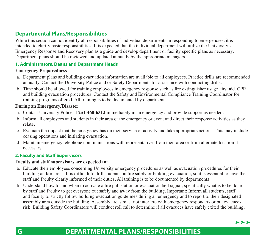## **Departmental Plans/Responsibilities**

While this section cannot identify all responsibilities of individual departments in responding to emergencies, it is intended to clarify basic responsibilities. It is expected that the individual department will utilize the University's Emergency Response and Recovery plan as a guide and develop department or facility specific plans as necessary. Department plans should be reviewed and updated annually by the appropriate managers.

#### **1. Administrators, Deans and Department Heads**

#### **Emergency Preparedness**

- a. Department plans and building evacuation information are available to all employees. Practice drills are recommended annually. Contact the University Police and or Safety Departments for assistance with conducting drills.
- b. Time should be allowed for training employees in emergency response such as fire extinguisher usage, first aid, CPR and building evacuation procedures. Contact the Safety and Environmental Compliance Training Coordinator for training programs offered. All training is to be documented by department.

#### **During an Emergency/Disaster**

- a. Contact University Police at **251-460-6312** immediately in an emergency and provide support as needed.
- b. Inform all employees and students in their area of the emergency or event and direct their response activities as they relate.
- c. Evaluate the impact that the emergency has on their service or activity and take appropriate actions. This may include ceasing operations and initiating evacuation.
- d. Maintain emergency telephone communications with representatives from their area or from alternate location if necessary.

#### **2. Faculty and Staff Supervisors**

#### **Faculty and staff supervisors are expected to:**

- a. Educate their employees concerning University emergency procedures as well as evacuation procedures for their building and/or areas. It is difficult to drill students on fire safety or building evacuation, so it is essential to have the staff and faculty clearly informed of their duties. All training is to be documented by departments.
- b. Understand how to and when to activate a fire pull station or evacuation bell signal; specifically what is to be done by staff and faculty to get everyone out safely and away from the building. Important: Inform all students, staff and faculty to strictly follow building evacuation guidelines during an emergency and to report to their designated assembly area outside the building. Assembly areas must not interfere with emergency responders or put evacuees at risk. Building Safety Coordinators will conduct roll call to determine if all evacuees have safely exited the building.



# **G DEPARTMENTAL PLANS/RESPONSIBILITIES**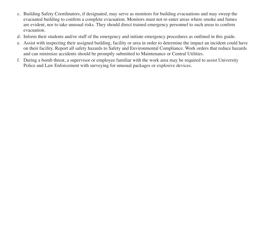- c. Building Safety Coordinators, if designated, may serve as monitors for building evacuations and may sweep the evacuated building to confirm a complete evacuation. Monitors must not re-enter areas where smoke and fumes are evident, nor to take unusual risks. They should direct trained emergency personnel to such areas to confirm evacuation.
- d. Inform their students and/or staff of the emergency and initiate emergency procedures as outlined in this guide.
- e. Assist with inspecting their assigned building, facility or area in order to determine the impact an incident could have on their facility. Report all safety hazards to Safety and Environmental Compliance. Work orders that reduce hazards and can minimize accidents should be promptly submitted to Maintenance or Central Utilities.
- f. During a bomb threat, a supervisor or employee familiar with the work area may be required to assist University Police and Law Enforcement with surveying for unusual packages or explosive devices.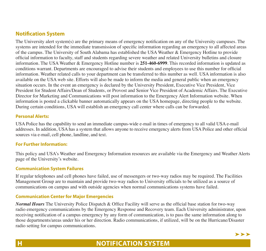## **Notifcation System**

The University alert system(s) are the primary means of emergency notification on any of the University campuses. The systems are intended for the immediate transmission of specific information regarding an emergency to all affected areas of the campus. The University of South Alabama has established the USA Weather & Emergency Hotline to provide official information to faculty, staff and students regarding severe weather and related University bulletins and closure information. The USA Weather & Emergency Hotline number is **251-460-6999**. This recorded information is updated as conditions warrant. Departments are encouraged to advise their students and employees to use this number for official information. Weather related calls to your department can be transferred to this number as well. USA information is also available on the USA web site. Efforts will also be made to inform the media and general public when an emergency situation occurs. In the event an emergency is declared by the University President, Executive Vice President, Vice President for Student Affairs/Dean of Students, or Provost and Senior Vice President of Academic Affairs. The Executive Director for Marketing and Communications will post information to the Emergency Alert Information website. When information is posted a clickable banner automatically appears on the USA homepage, directing people to the website. During certain conditions, USA will establish an emergency call center where calls can be forwarded.

#### **Personal Alerts:**

USA Police has the capability to send an immediate campus-wide e-mail in times of emergency to all valid USA e-mail addresses. In addition, USA has a system that allows anyone to receive emergency alerts from USA Police and other official sources via e-mail, cell phone, landline, and text.

#### **For Further Information:**

This policy and USA's Weather and Emergency Information resources are available via the Emergency and Weather Alerts page of the University's website.

#### **Communication System Failures**

If regular telephones and cell phones have failed, use of messengers or two-way radios may be required. The Facilities Management Group are to maintain and provide two-way radios to University officials to be utilized as a source of communications on campus and with outside agencies when normal communications systems have failed.

#### **Communication Center for Major Emergencies**

*Normal Hours* The University Police Dispatch & Office Facility will serve as the official base station for two-way radio emergency communications by the Emergency Response and Recovery team. Each University administrator, upon receiving notification of a campus emergency by any form of communication, is to pass the same information along to those departments/areas under his or her direction. Radio communications, if utilized, will be on the Hurricane/Disaster radio setting for campus communications.

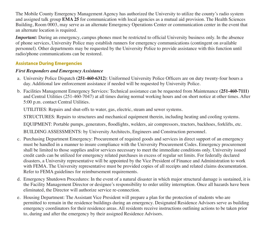The Mobile County Emergency Management Agency has authorized the University to utilize the county's radio system and assigned talk group **EMA 25** for communication with local agencies as a mutual aid provision. The Health Sciences Building, Room 0003, may serve as an alternate Emergency Operations Center or communication center in the event that an alternate location is required.

*Important:* During an emergency, campus phones must be restricted to official University business only. In the absence of phone services, University Police may establish runners for emergency communications (contingent on available personnel). Other departments may be requested by the University Police to provide assistance with this function until radio/phone communications can be restored.

## **Assistance During Emergencies**

## *First Responders and Emergency Assistance*

- a. University Police Dispatch **(251-460-6312)**: Uniformed University Police Officers are on duty twenty-four hours a day. Additional law enforcement assistance if needed will be requested by University Police.
- b. Facilities Management Emergency Services: Technical assistance can be requested from Maintenance **(251-460-7111)** and Central Utilities (251-460-7047) at all times during normal working hours and on short notice at other times. After 5:00 p.m. contact Central Utilities.

UTILITIES: Repairs and shut-offs to water, gas, electric, steam and sewer systems.

STRUCTURES: Repairs to structures and mechanical equipment therein, including heating and cooling systems.

EQUIPMENT: Portable pumps, generators, floodlights, welders, air compressors, tractors, backhoes, forklifts, etc.

BUILDING ASSESSMENTS: by University Architects, Engineers and Construction personnel.

- c. Purchasing Department Emergency: Procurement of required goods and services in direct support of an emergency must be handled in a manner to insure compliance with the University Procurement Codes. Emergency procurement shall be limited to those supplies and/or services necessary to meet the immediate conditions only. University issued credit cards can be utilized for emergency related purchases in excess of regular set limits. For federally declared disasters, a University representative will be appointed by the Vice President of Finance and Administration to work with FEMA. The University representative must be provided copies of all receipts and related claims documentation. Refer to FEMA guidelines for reimbursement requirements.
- d. Emergency Shutdown Procedures: In the event of a natural disaster in which major structural damage is sustained, it is the Facility Management Director or designee's responsibility to order utility interruption. Once all hazards have been eliminated, the Director will authorize service re-connection.
- e. Housing Department: The Assistant Vice President will prepare a plan for the protection of students who are permitted to remain in the residence buildings during an emergency. Designated Residence Advisors serve as building emergency coordinators for their residence areas. All residents receive instructions outlining actions to be taken prior to, during and after the emergency by their assigned Residence Advisors.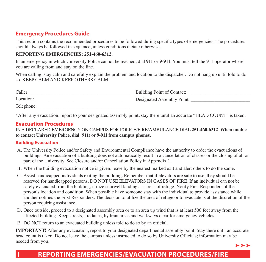## **Emergency Procedures Guide**

This section contains the recommended procedures to be followed during specific types of emergencies. The procedures should always be followed in sequence, unless conditions dictate otherwise.

#### **REPORTING EMERGENCIES: 251-460-6312**.

In an emergency in which University Police cannot be reached, dial **911** or **9-911**. You must tell the 911 operator where you are calling from and stay on the line.

When calling, stay calm and carefully explain the problem and location to the dispatcher. Do not hang up until told to do so. KEEP CALM AND KEEP OTHERS CALM.

| Caller:    | Building Point of Contact: |
|------------|----------------------------|
| Location:  | Designated Assembly Point: |
| Telephone: |                            |

\*After any evacuation, report to your designated assembly point, stay there until an accurate "HEAD COUNT" is taken.

## **Evacuation Procedures**

IN A DECLARED EMERGENCY ON CAMPUS FOR POLICE/FIRE/AMBULANCE DIAL **251-460-6312**. **When unable to contact University Police, dial (911) or 9-911 from campus phones.** 

#### **Building Evacuation**

- A. The University Police and/or Safety and Environmental Compliance have the authority to order the evacuations of buildings. An evacuation of a building does not automatically result in a cancellation of classes or the closing of all or part of the University. See Closure and/or Cancellation Policy in Appendix 1.
- B. When the building evacuation notice is given, leave by the nearest marked exit and alert others to do the same.
- C. Assist handicapped individuals exiting the building. Remember that if elevators are safe to use, they should be reserved for handicapped persons. DO NOT USE ELEVATORS IN CASES OF FIRE. If an individual can not be safely evacuated from the building, utilize stairwell landings as areas of refuge. Notify First Responders of the person's location and condition. When possible have someone stay with the individual to provide assistance while another notifies the First Responders. The decision to utilize the area of refuge or to evacuate is at the discretion of the person requiring assistance.
- D. Once outside, proceed to a designated assembly area or to an area up wind that is at least 500 feet away from the affected building. Keep streets, fire lanes, hydrant areas and walkways clear for emergency vehicles.
- E. DO NOT return to an evacuated building unless told to do so by an official.

**IMPORTANT!** After any evacuation, report to your designated departmental assembly point. Stay there until an accurate head count is taken. Do not leave the campus unless instructed to do so by University Officials; information may be needed from you. ➤➤➤

# **I REPORTING EMERGENCIES/EVACUATION PROCEDURES/FIRE**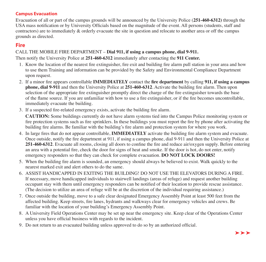## **Campus Evacuation**

Evacuation of all or part of the campus grounds will be announced by the University Police (**251-460-6312)** through the USA mass notification or by University Officials based on the magnitude of the event. All persons (students, staff and contractors) are to immediately & orderly evacuate the site in question and relocate to another area or off the campus grounds as directed.

## **Fire**

#### CALL THE MOBILE FIRE DEPARTMENT – **Dial 911, if using a campus phone, dial 9-911.**

Then notify the University Police at **251-460-6312** immediately after contacting the **911 Center.** 

- 1. Know the location of the nearest fire extinguisher, fire exit and building fire alarm pull station in your area and how to use them Training and information can be provided by the Safety and Environmental Compliance Department upon request.
- 2. If a minor fire appears controllable **IMMEDIATELY** contact the **fire department** by calling **911, if using a campus phone, dial 9-911** and then the University Police at **251-460-6312**. Activate the building fire alarm. Then upon selection of the appropriate fire extinguisher promptly direct the charge of the fire extinguisher towards the base of the flame source. If you are unfamiliar with how to use a fire extinguisher, or if the fire becomes uncontrollable, immediately evacuate the building.
- 3. If a suspected fire-related emergency exists, activate the building fire alarm.

**CAUTION:** Some buildings currently do not have alarm systems tied into the Campus Police monitoring system or fire protection systems such as fire sprinklers. In these buildings you must report the fire by phone after activating the building fire alarms. Be familiar with the building's fire alarm and protection system for where you work.

- 4. In large fires that do not appear controllable, **IMMEDIATELY** activate the building fire alarm system and evacuate. Once outside, notify the fire department at 911, if using a campus phone, dial 9-911 and then the University Police at **251-460-6312**. Evacuate all rooms, closing all doors to confine the fire and reduce air/oxygen supply. Before entering an area with a potential fire, check the door for signs of heat and smoke. If the door is hot, do not enter, notify emergency responders so that they can check for complete evacuation. **DO NOT LOCK DOORS!**
- 5. When the building fire alarm is sounded, an emergency should always be believed to exist. Walk quickly to the nearest marked exit and alert others to do the same.
- 6. ASSIST HANDICAPPED IN EXITING THE BUILDING! DO NOT USE THE ELEVATORS DURING A FIRE. If necessary, move handicapped individuals to stairwell landings (areas of refuge) and request another building occupant stay with them until emergency responders can be notified of their location to provide rescue assistance. (The decision to utilize an area of refuge will be at the discretion of the individual requiring assistance.)
- 7. Once outside the building, move to a safe clear designated Emergency Assembly Point at least 500 feet from the affected building. Keep streets, fire lanes, hydrants and walkways clear for emergency vehicles and crews. Be familiar with the location of your building's Emergency Assembly Point.
- 8. A University Field Operations Center may be set up near the emergency site. Keep clear of the Operations Center unless you have official business with regards to the incident.
- 9. Do not return to an evacuated building unless approved to do so by an authorized official.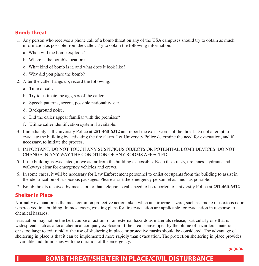## **Bomb Threat**

- 1. Any person who receives a phone call of a bomb threat on any of the USA campuses should try to obtain as much information as possible from the caller. Try to obtain the following information:
	- a. When will the bomb explode?
	- b. Where is the bomb's location?
	- c. What kind of bomb is it, and what does it look like?
	- d. Why did you place the bomb?
- 2. After the caller hangs up, record the following:
	- a. Time of call.
	- b. Try to estimate the age, sex of the caller.
	- c. Speech patterns, accent, possible nationality, etc.
	- d. Background noise.
	- e. Did the caller appear familiar with the premises?
	- f. Utilize caller identification system if available.
- 3. Immediately call University Police at **251-460-6312** and report the exact words of the threat. Do not attempt to evacuate the building by activating the fire alarm. Let University Police determine the need for evacuation, and if necessary, to initiate the process.
- CHANGE IN ANY WAY THE CONDITION OF ANY ROOMS AFFECTED. 4. IMPORTANT: DO NOT TOUCH ANY SUSPICIOUS OBJECTS OR POTENTIAL BOMB DEVICES. DO NOT
- 5. If the building is evacuated, move as far from the building as possible. Keep the streets, fire lanes, hydrants and walkways clear for emergency vehicles and crews.
- 6. In some cases, it will be necessary for Law Enforcement personnel to enlist occupants from the building to assist in the identification of suspicious packages. Please assist the emergency personnel as much as possible.
- 7. Bomb threats received by means other than telephone calls need to be reported to University Police at **251-460-6312**.

## **Shelter In Place**

Normally evacuation is the most common protective action taken when an airborne hazard, such as smoke or noxious odor is perceived in a building. In most cases, existing plans for fire evacuation are applicable for evacuation in response to chemical hazards.

Evacuation may not be the best course of action for an external hazardous materials release, particularly one that is widespread such as a local chemical company explosion. If the area is enveloped by the plume of hazardous material or is too large to exit rapidly, the use of sheltering in place or protective masks should be considered. The advantage of sheltering in place is that it can be implemented more rapidly than evacuation. The protection sheltering in place provides is variable and diminishes with the duration of the emergency.

≻≻≻

# **I BOMB THREAT/SHELTER IN PLACE/CIVIL DISTURBANCE**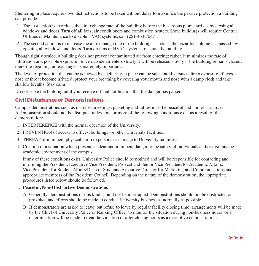Sheltering in place requires two distinct actions to be taken without delay to maximize the passive protection a building can provide:

- 1. The first action is to reduce the air exchange rate of the building before the hazardous plume arrives by closing all windows and doors. Turn off all fans, air conditioners and combustion heaters. Some buildings will require Central Utilities or Maintenance to disable HVAC systems, call (251-460-7047).
- 2. The second action is to increase the air exchange rate of the building as soon as the hazardous plume has passed, by opening all windows and doors. Turn on fans or HVAC systems to aerate the building.

Though tightly sealed, a building does not prevent contaminated air from entering; rather, it minimizes the rate of infiltration and possible exposure. Since outside air enters slowly it will be released slowly if the building remains closed, therefore regaining air exchanges is extremely important.

The level of protection that can be achieved by sheltering in place can be substantial versus a direct exposure. If eyes, nose or throat become irritated, protect your breathing by covering your mouth and nose with a damp cloth and take shallow breaths. Stay calm.

Do not leave the building until you receive official notification that the danger has passed.

## **Civil Disturbance or Demonstrations**

Campus demonstrations such as marches, meetings, picketing and rallies must be peaceful and non-obstructive. A demonstration should not be disrupted unless one or more of the following conditions exist as a result of the demonstration:

- 1. INTERFERENCE with the normal operation of the University.
- 2. PREVENTION of access to offices, buildings, or other University facilities.
- 3. THREAT of imminent physical harm to persons or damage to University facilities.
- 4. Creation of a situation which presents a clear and imminent danger to the safety of individuals and/or disrupts the academic environment of the campus.

If any of these conditions exist, University Police should be notified and will be responsible for contacting and informing the President, Executive Vice President, Provost and Senior Vice President for Academic Affairs, Vice President for Student Affairs/Dean of Students, Executive Director for Marketing and Communications and appropriate members of the President Council. Depending on the nature of the demonstration, the appropriate procedures listed below should be followed.

## **1. Peaceful, Non-Obstructive Demonstrations**

- A. Generally, demonstrations of this kind should not be interrupted. Demonstrations should not be obstructed or provoked and efforts should be made to conduct University business as normally as possible.
- B. If demonstrators are asked to leave, but refuse to leave by regular facility closing time, arrangements will be made by the Chief of University Police or Ranking Officer to monitor the situation during non-business hours, or a determination will be made to treat the violation of after closing hours as a disruptive demonstration.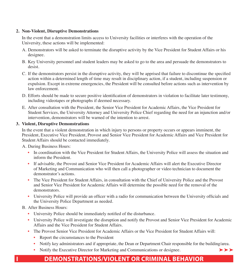#### **2. Non-Violent, Disruptive Demonstrations**

In the event that a demonstration limits access to University facilities or interferes with the operation of the University, these actions will be implemented:

- A. Demonstrators will be asked to terminate the disruptive activity by the Vice President for Student Affairs or his designee.
- B. Key University personnel and student leaders may be asked to go to the area and persuade the demonstrators to desist.
- C. If the demonstrators persist in the disruptive activity, they will be apprised that failure to discontinue the specified action within a determined length of time may result in disciplinary action, if a student, including suspension or expulsion. Except in extreme emergencies, the President will be consulted before actions such as intervention by law enforcement.
- D. Efforts should be made to secure positive identification of demonstrators in violation to facilitate later testimony, including videotapes or photographs if deemed necessary.
- E. After consultation with the President, the Senior Vice President for Academic Affairs, the Vice President for Student Services, the University Attorney and University Police Chief regarding the need for an injunction and/or intervention, demonstrators will be warned of the intention to arrest.

#### **3. Violent, Disruptive Demonstrations**

In the event that a violent demonstration in which injury to persons or property occurs or appears imminent, the President, Executive Vice President, Provost and Senior Vice President for Academic Affairs and Vice President for Student Affairs should be contacted immediately.

A. During Business Hours:

- In coordination with the Vice President for Student Affairs, the University Police will assess the situation and inform the President.
- If advisable, the Provost and Senior Vice President for Academic Affairs will alert the Executive Director of Marketing and Communication who will then call a photographer or video technician to document the demonstrator's actions.
- The Vice President for Student Affairs, in consultation with the Chief of University Police and the Provost and Senior Vice President for Academic Affairs will determine the possible need for the removal of the demonstrators.
- University Police will provide an officer with a radio for communication between the University officials and the University Police Department as needed.
- B. After Business Hours:
	- University Police should be immediately notified of the disturbance.
	- University Police will investigate the disruption and notify the Provost and Senior Vice President for Academic Affairs and the Vice President for Student Affairs.
	- The Provost Senior Vice President for Academic Affairs or the Vice President for Student Affairs will:
		- Report the circumstances to the President
		- Notify key administrators and if appropriate, the Dean or Department Chair responsible for the building/area.

 $>$   $>$ 

• Notify the Executive Director for Marketing and Communications or designee.

# **I DEMONSTRATIONS/VIOLENT OR CRIMINAL BEHAVIOR**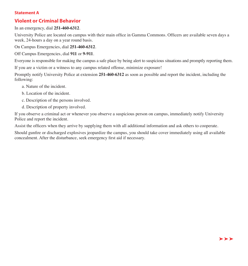#### **Statement A**

## **Violent or Criminal Behavior**

In an emergency, dial **251-460-6312**.

University Police are located on campus with their main office in Gamma Commons. Officers are available seven days a week, 24-hours a day on a year round basis.

On Campus Emergencies, dial **251-460-6312**.

Off Campus Emergencies, dial **911** or **9-911**.

Everyone is responsible for making the campus a safe place by being alert to suspicious situations and promptly reporting them.

If you are a victim or a witness to any campus related offense, minimize exposure!

Promptly notify University Police at extension **251-460-6312** as soon as possible and report the incident, including the following:

- a. Nature of the incident.
- b. Location of the incident.
- c. Description of the persons involved.
- d. Description of property involved.

If you observe a criminal act or whenever you observe a suspicious person on campus, immediately notify University Police and report the incident.

Assist the officers when they arrive by supplying them with all additional information and ask others to cooperate.

Should gunfire or discharged explosives jeopardize the campus, you should take cover immediately using all available concealment. After the disturbance, seek emergency first aid if necessary.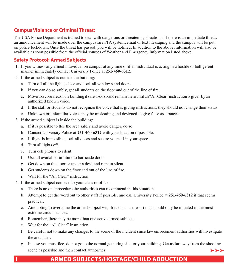## **Campus Violence or Criminal Threat:**

The USA Police Department is trained to deal with dangerous or threatening situations. If there is an immediate threat, an announcement will be made over the campus siren/PA system, email or text messaging and the campus will be put on police lockdown. Once the threat has passed, you will be notified. In addition to the above, information will also be available as soon possible from the official sources of Weather and Emergency Information listed above.

## **Safety Protocol: Armed Subjects**

- 1. If you witness any armed individual on campus at any time or if an individual is acting in a hostile or belligerent manner immediately contact University Police at **251-460-6312**.
- 2. If the armed subject is outside the building:
	- a. Turn off all the lights, close and lock all windows and doors.
	- b. If you can do so safely, get all students on the floor and out of the line of fire.
	- c. Move to a core area of the building if safe to do so and remain there until an "All Clear" instruction is given by an authorized known voice.
	- d. If the staff or students do not recognize the voice that is giving instructions, they should not change their status.
	- e. Unknown or unfamiliar voices may be misleading and designed to give false assurances.
- 3. If the armed subject is inside the building:
	- a. If it is possible to flee the area safely and avoid danger, do so.
	- b. Contact University Police at **251-460-6312** with your location if possible.
	- c. If flight is impossible, lock all doors and secure yourself in your space.
	- d. Turn all lights off.
	- e. Turn cell phones to silent.
	- f. Use all available furniture to barricade doors
	- g. Get down on the floor or under a desk and remain silent.
	- h. Get students down on the floor and out of the line of fire.
	- i. Wait for the "All Clear" instruction.
- 4. If the armed subject comes into your class or office:
	- a. There is no one procedure the authorities can recommend in this situation.
	- b. Attempt to get the word out to other staff if possible, and call University Police at **251-460-6312** if that seems practical.
	- c. Attempting to overcome the armed subject with force is a last resort that should only be initiated in the most extreme circumstances.
	- d. Remember, there may be more than one active armed subject.
	- e. Wait for the "All Clear" instruction.
	- f. Be careful not to make any changes to the scene of the incident since law enforcement authorities will investigate the area later.
	- g. In case you must flee, do not go to the normal gathering site for your building. Get as far away from the shooting scene as possible and then contact authorities.  $\rightarrow$   $\rightarrow$

# **I ARMED SUBJECTS/HOSTAGE/CHILD ABDUCTION**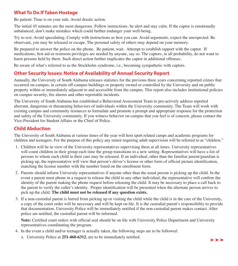## **What To Do If Taken Hostage**

Be patient: Time is on your side. Avoid drastic action.

The initial 45 minutes are the most dangerous. Follow instructions, be alert and stay calm. If the captor is emotionally unbalanced, don't make mistakes which could further endanger your well-being.

Try to rest. Avoid speculating. Comply with instructions as best you can. Avoid arguments, expect the unexpected. Be observant, you may be released or escape. The personal safety of others may depend on your memory.

Be prepared to answer the police on the phone. Be patient, wait. Attempt to establish rapport with the captor. If medications, first aid or restroom privileges are needed by anyone, say so. The captors, in all probability, do not want to harm persons held by them. Such direct action further implicates the captor in additional offenses.

Be aware of what's referred to as the Stockholm syndrome, i.e., becoming sympathetic with captors.

# **Other Security Issues: Notice of Availability of Annual Security Report**

Annually, the University of South Alabama releases statistics for the previous three years concerning reported crimes that occurred on-campus, in certain off-campus buildings or property owned or controlled by the University and on public property within or immediately adjacent to and accessible from the campus. This report also includes institutional policies on campus security, fire alarms and other reportable incidents.

The University of South Alabama has established a Behavioral Assessment Team to pro-actively address reported aberrant, dangerous or threatening behaviors of individuals within the University community. The Team will work with existing campus and community resources to formulate and promote a prompt and appropriate response for the protection and safety of the University community. If you witness behavior on campus that you feel is of concern, please contact the Vice-President for Student Affairs or the Chief of Police.

## **Child Abduction**

The University of South Alabama at various times of the year will host sport related camps and academic programs for children and teenagers. For the purpose of this policy any minor requiring adult supervision will be referred to as "children."

- 1. Children will be in view of the University representatives supervising them at all times. University representatives will count children in their group each time the group transitions to a new setting. Representatives will have a list of persons to whom each child in their care may be released. If an individual, other than the familiar parent/guardian is picking up, the representative will view that person's driver's license or other form of official picture identification, matching the license number with the number listed on the enrollment form.
- 2. Parents should inform University representatives if anyone other than the usual person is picking up the child. In the event a parent must phone in a request to release the child to any other individual, the representative will confirm the identity of the parent making the phone request before releasing the child. It may be necessary to place a call back to the parent to verify the caller's identity. Proper identification will be presented when the alternate person arrives to pick up the child. **The child must not be released if any question exists.**
- 3. If a non-custodial parent is barred from picking up or visiting the child while the child is in the care of the University, a copy of the court order will be necessary and will be kept on file. It is the custodial parent's responsibility to provide that documentation. University Police will be immediately notified if the non-custodial parent makes contact. After police are notified, the custodial parent will be informed.

**Note:** Certified court orders with official seal should be on file with University Police Department and University representatives coordinating the program.

- 4. In the event a child and/or teenager is actually taken, the following steps are to be followed:
	- a. University Police at **251-460-6312**, are to be immediately notified.

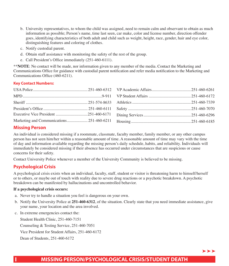- b. University representatives, to whom the child was assigned, need to remain calm and observant to obtain as much information as possible; Person's name, time last seen, car make, color and license number, direction offender goes, identifying characteristics of both adult and child such as weight, height, race, gender, hair and eye color, distinguishing features and coloring of clothes.
- c. Notify custodial parent.
- d. Obtain staff assistance with monitoring the safety of the rest of the group.
- e. Call President's Office immediately (251-460-6111).

\*\***NOTE**: No contact will be made, nor information given to any member of the media. Contact the Marketing and Communications Office for guidance with custodial parent notification and refer media notification to the Marketing and Communications Office (460-6211).

## **Key Contact Numbers:**

## **Missing Person**

An individual is considered missing if a roommate, classmate, faculty member, family member, or any other campus person has not seen him/her within a reasonable amount of time. A reasonable amount of time may vary with the time of day and information available regarding the missing person's daily schedule, habits, and reliability. Individuals will immediately be considered missing if their absence has occurred under circumstances that are suspicious or cause concerns for their safety.

Contact University Police whenever a member of the University Community is believed to be missing.

## **Psychological Crisis**

A psychological crisis exists when an individual, faculty, staff, student or visitor is threatening harm to himself/herself or to others, or maybe out of touch with reality due to severe drug reactions or a psychotic breakdown. A psychotic breakdown can be manifested by hallucinations and uncontrolled behavior.

#### **If a psychological crisis occurs:**

- a. Never try to handle a situation you feel is dangerous on your own.
- b. Notify the University Police at **251-460-6312**, of the situation. Clearly state that you need immediate assistance, give your name, your location and the area involved.
- c. In extreme emergencies contact the:

Student Health Clinic, 251-460-7151 Counseling & Testing Service, 251-460-7051 Vice President for Student Affairs, 251-460-6172 Dean of Students, 251-460-6172

## **I MISSING PERSON/PSYCHOLOGICAL CRISIS/STUDENT DEATH**

 $\rightarrow$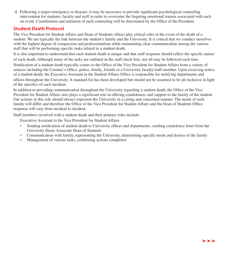d. Following a major emergency or disaster, it may be necessary to provide significant psychological counseling intervention for students, faculty and staff in order to overcome the lingering emotional trauma associated with such an event. Coordination and initiation of such counseling will be determined by the Office of the President.

## **Student Death Protocol**

The Vice President for Student Affairs and Dean of Students offices play critical roles in the event of the death of a student. We are typically the link between the student's family and the University. It is critical that we conduct ourselves with the highest degree of compassion and professionalism while maintaining clear communication among the various staff that will be performing specific tasks related to a student death.

It is also important to understand that each student death is unique and that staff response should reflect the specific nature of each death. Although many of the tasks are outlined in the staff check lists, not all may be followed each time.

Notification of a student death typically comes to the Office of the Vice President for Student Affairs from a variety of sources including the Coroner's Office, police, family, friends or a University faculty/staff member. Upon receiving notice of a student death, the Executive Assistant in the Student Affairs Office is responsible for notifying departments and offices throughout the University. A standard list has been developed but should not be assumed to be all-inclusive in light of the specifics of each incident.

In addition to providing communication throughout the University regarding a student death, the Office of the Vice President for Student Affairs also plays a significant role in offering condolences and support to the family of the student. Our actions in this role should always represent the University in a caring and concerned manner. The needs of each family will differ and therefore the Office of the Vice President for Student Affairs and the Dean of Students Office response will vary from incident to incident.

Staff members involved with a student death and their primary roles include:

Executive Assistant to the Vice President for Student Affairs

- Sending notification of student death to University offices and departments, sending condolence letter from the University Dean/ Associate Dean of Students
- Communication with family, representing the University, determining specific needs and desires of the family
- Management of various tasks, confirming actions completed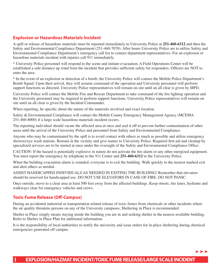## **Explosion or Hazardous Materials Incident**

A spill or release of hazardous materials must be reported immediately to University Police at **251-460-6312** and then the Safety and Environmental Compliance Department (251-460-7070). After hours University Police are to utilize Safety and Environmental Compliance Department's emergency call list to contact department representatives. For an explosion or hazardous materials incident with injuries call 911 immediately.

\* University Police personnel will respond to the scene and initiate evacuation. A Field Operations Center will be established a safe distance up wind from the incident that provides sufficient safety for responders. Officers are NOT to enter the area.

\* In the event of an explosion or detection of a bomb, the University Police will contact the Mobile Police Department's Bomb Squad. Upon their arrival, they will assume command of the operation and University personnel will perform support functions as directed. University Police representatives will remain on site until an all clear is given by MPD.

University Police will contact the Mobile Fire and Rescue Department to take command of the fire fighting operation and the University personnel may be required to perform support functions. University Police representatives will remain on site until an all clear is given by the Incident Commander.

When reporting, be specific about the nature of the materials involved and exact location.

Safety & Environmental Compliance will contact the Mobile County Emergency Management Agency (MCEMA 251-460-8000) if a large scale hazardous materials incident occurs.

The reporting individual should vacate the affected area at once and seal it off to prevent further contamination of other areas until the arrival of the University Police and personnel from Safety and Environmental Compliance.

Anyone who may be contaminated by the spill is to avoid contact with others as much as possible and utilize emergency showers/eye wash stations. Remain in the vicinity and give names to University Police. Required first aid and cleanup by specialized services are to be started at once under the oversight of the Safety and Environmental Compliance Office.

CAUTION: If the hazard is potentially explosive in nature do not activate the fire alarm or any other energized equipment. You must report the emergency by telephone to the 911 Center and **251-460-6312** to the University Police.

When the building evacuation alarm is sounded, everyone is to exit the building. Walk quickly to the nearest marked exit and alert others as needed.

ASSIST HANDICAPPED INDIVIDUALS AS NEEDED IN EXITING THE BUILDING! Remember that elevators should be reserved for handicapped use. DO NOT USE ELEVATORS IN CASE OF FIRE. DO NOT PANIC.

Once outside, move to a clear area at least 500 feet away from the affected buildings. Keep streets, fire lanes, hydrants and walkways clear for emergency vehicles and crews.

## **Toxic Fume Release (Of-Campus)**

During an accidental industrial or transportation related release of toxic fumes from chemicals or other incidents where the air quality threatens persons on any of the University campuses, Sheltering in Place is recommended.

Shelter in Place simply means staying inside the building you are in and seeking shelter in the nearest available building. Refer to Shelter in Place Plan for additional information.

It is the responsibility of local authorities to notify the university and issue orders for in-place sheltering during chemical emergencies generated off campus.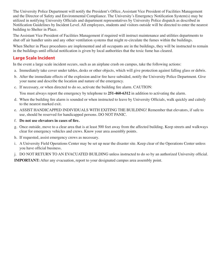The University Police Department will notify the President's Office, Assistant Vice President of Facilities Management and the Director of Safety and Environmental Compliance. The University's Emergency Notification System(s) may be utilized in notifying University Officials and department representatives by University Police dispatch as described in Notification Guidelines by Incident Level. All employees, students and visitors outside will be directed to enter the nearest building to Shelter in Place.

The Assistant Vice President of Facilities Management if required will instruct maintenance and utilities departments to shut off air handler units and any other ventilation systems that might re-circulate the fumes within the buildings.

When Shelter in Place procedures are implemented and all occupants are in the buildings, they will be instructed to remain in the buildings until official notification is given by local authorities that the toxic fume has cleared.

## **Large Scale Incident**

In the event a large scale incident occurs, such as an airplane crash on campus, take the following actions:

- a. Immediately take cover under tables, desks or other objects, which will give protection against falling glass or debris.
- b. After the immediate effects of the explosion and/or fire have subsided, notify the University Police Department. Give your name and describe the location and nature of the emergency.
- c. If necessary, or when directed to do so, activate the building fire alarm. CAUTION:

You must always report the emergency by telephone to **251-460-6312** in addition to activating the alarm.

- d. When the building fire alarm is sounded or when instructed to leave by University Officials, walk quickly and calmly to the nearest marked exit.
- e. ASSIST HANDICAPPED INDIVIDUALS WITH EXITING THE BUILDING! Remember that elevators, if safe to use, should be reserved for handicapped persons. DO NOT PANIC.
- f. **Do not use elevators in cases of fire.**
- g. Once outside, move to a clear area that is at least 500 feet away from the affected building. Keep streets and walkways clear for emergency vehicles and crews. Know your area assembly points.
- h. If requested, assist emergency crews as necessary.
- i. A University Field Operations Center may be set up near the disaster site. Keep clear of the Operations Center unless you have official business.
- j. DO NOT RETURN TO AN EVACUATED BUILDING unless instructed to do so by an authorized University official.

**IMPORTANT:** After any evacuation, report to your designated campus area assembly point.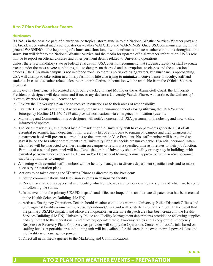## **A to Z Plan for Weather Events**

#### **Hurricanes**

If USA is in the possible path of a hurricane or tropical storm, tune in to the National Weather Service [\(Weather.gov](https://Weather.gov)) and the broadcast or virtual media for updates on weather WATCHES and WARNINGS. Once USA communicates the initial general WARNING at the beginning of a hurricane situation, it will continue to update weather conditions throughout the storm, but will defer to the National Weather Service and the media for updated official weather information. USA's role will be to report on official closures and other pertinent details related to University operations.

Unless there is a mandatory state or federal evacuation, USA does not recommend that students, faculty or staff evacuate except under the most severe conditions, due to dangers on the road and interruptions to classes and the educational process. The USA main campus is not in a flood zone, so there is no risk of rising waters. If a hurricane is approaching, USA will attempt to take action in a timely fashion, while also trying to minimize inconvenience to faculty, staff and students. In case of weather-related closure or other bulletins, information will be available from the Official Sources provided.

In the event a hurricane is forecasted and is being tracked toward Mobile or the Alabama Gulf Coast, the University President or designee will determine and if necessary declare a University **Watch Phase**. At that time, the University's "Severe Weather Group" will convene to:

- a. Review the University's plan and to receive instructions as to their areas of responsibility.
- b. Evaluate University activities, if necessary, prepare and announce school closing utilizing the USA Weather/ Emergency Hotline **251-460-6999** and provide notifications via emergency notification systems.
- c. Marketing and Communications or designee will notify nonessential USA personnel of the closing and how to stay informed of updates.
- d. The Vice President(s), as directed by the President of the University, will have departments generate a list of all essential personnel. Each department will present a list of employees to remain on campus and their chairperson/ department head will present a current list to the appropriate Vice President. No staff member will be required to stay if he or she has other commitments that University Officials decide are unavoidable. Essential personnel when identified will be instructed to either remain on campus or return at a specified time as it relates to their job function. Families of essential personnel will be offered shelter in a University shelter facility or may stay in buildings with essential personnel as space permits. Deans and/or Department Managers must approve before essential personnel may bring families to campus.
- e. A meeting with essential staff members will be held by managers to discuss department specific needs and to make necessary preparation plans.
- f. Actions to be taken during the **Warning Phase** as directed by the President:
	- 1. Set up communications and television systems in designated facility.
	- 2. Review available employees list and identify which employees are to work during the storm and which are to come in following the storm.
	- 3. In the event that the primary USAPD dispatch and office are inoperable, an alternate dispatch area has been created in the Health Sciences Building (HAHN).
	- 4. Activate Emergency Operations Center should weather conditions warrant. University Police Dispatch Offices and or designated facility rooms will serve as Operations Center and will be staffed around the clock. In the event that the primary USAPD dispatch and office are inoperable, an alternate dispatch area has been created in the Health Services Building (HAHN). University Police and Facility Management departments provide the following supplies and equipment to the Operations Center: battery operated radio, two-way radios and a copy of the Emergency Response & Recovery Plan. Food Services provider will supply the Operations Center with food/drinks based on staffing levels. A portable air-conditioning unit will be available for this area in the event normal power is lost and the facility is on emergency power.
	- 5. Direct all news media queries to the Marketing and Communications.

## **J A TO Z PLAN FOR WEATHER EVENTS – PREPARATION**

 $\blacktriangleright$   $\blacktriangleright$   $\blacktriangleright$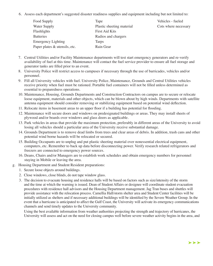6.Assess each department's suggested disaster readiness supplies and equipment including but not limited to:

| Food Supply                     | Tape                      | Vehicles - fueled    |
|---------------------------------|---------------------------|----------------------|
| Water Supply                    | Plastic sheeting material | Cots where necessary |
| Flashlights                     | <b>First Aid Kits</b>     |                      |
| <b>Batteries</b>                | Radios and chargers       |                      |
| <b>Emergency Lighting</b>       | Tarps                     |                      |
| Paper plates $&$ utensils, etc. | Rain Gear                 |                      |

- 7. Central Utilities and/or Facility Maintenance departments will test start emergency generators and re-verify availability of fuel at this time. Maintenance will contact the fuel service provider to ensure all fuel storage and generator tanks are filled prior to an event.
- 8. University Police will restrict access to campuses if necessary through the use of barricades, vehicles and/or personnel.
- 9. Fill all University vehicles with fuel. University Police, Maintenance, Grounds and Central Utilities vehicles receive priority when fuel must be rationed. Portable fuel containers will not be filled unless determined as essential to preparedness operations.
- 10. Maintenance, Housing, Grounds Departments and Construction Contractors on campus are to secure or relocate loose equipment, materials and other objects, which can be blown about by high winds. Departments with satellite antenna equipment should consider removing or stabilizing equipment based on potential wind deflection.
- 11. Relocate items in basement areas to an upper floor if a building has potential for flooding.
- 12. Maintenance will secure doors and windows on predesignated buildings or areas. They may install sheets of plywood and/or boards over windows and glass doors as applicable.
- 13. Park vehicles in areas that provide the maximum protection, preferably in different areas of the University to avoid losing all vehicles should a particular area of the University receive substantial damage.
- 14. Grounds Department is to remove dead limbs from trees and clear areas of debris. In addition, trash cans and other potential wind borne hazards will be relocated or secured.
- 15. Building Occupants are to unplug and put plastic sheeting material over nonessential electrical equipment, computers, etc. Remember to back up data before disconnecting power. Verify research related refrigerators and freezers are connected to emergency power sources.
- 16. Deans, Chairs and/or Managers are to establish work schedules and obtain emergency numbers for personnel staying in Mobile or leaving the area.
- g. Housing Department and Student Resident preparations:
	- 1. Secure loose objects around buildings.
	- 2. Close windows, close blinds, do not tape window glass.
	- 3. The decision to evacuate housing and residence halls will be based on factors such as size/intensity of the storm and the time at which the warning is issued. Dean of Student Affairs or designee will coordinate student evacuation procedures with residence hall advisors and the Housing Department management. Jag Tran buses and shuttles will provide assistance with the relocation process. Camellia Hall/storm shelter area and Student Center facilities will be initially utilized as shelters and if necessary additional buildings will be identified by the Severe Weather Group. In the event that a hurricane is anticipated to affect the Gulf Coast, the University will activate its emergency communications channels and send timely updates to the University community.

Using the best available information from weather authorities projecting the strength and trajectory of hurricanes, the University will assess and act on the need for closing campus well before severe weather activity begins in the area, and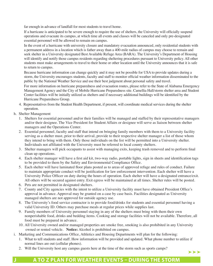far enough in advance of landfall for most students to travel home.

If a hurricane is anticipated to be severe enough to require the use of shelters, the University will officially suspend operations and evacuate its campus, at which time all events and classes will be canceled and only pre-designated essential personnel will be allowed to remain on campus.

In the event of a hurricane with university closure and mandatory evacuation announced, only residential students with a permanent address in a location which is father away than a 400-mile radius of campus may choose to remain and seek shelter in a University designated Best Available Refuge Area (BARA). The University's Department of Housing will identify and notify those campus residents regarding sheltering procedures pursuant to University policy. All other students must make arrangements to travel to their home or other location until the University announces that it is safe to return to campus.

Because hurricane information can change quickly and it may not be possible for USA to provide updates during a storm, the University encourages students, faculty and staff to monitor official weather information disseminated to the public by the National Weather Service and use their best judgment about personal safety and travel.

For more information on hurricane preparedness and evacuation routes, please refer to the State of Alabama Emergency Management Agency and the City of Mobile Hurricane Preparedness site. Camellia Hall/storm shelter area and Student Center facilities will be initially utilized as shelters and if necessary additional buildings will be identified by the Hurricane Preparedness Group.

- 4. Representatives from the Student Health Department, if present, will coordinate medical services during the shelter operation.
- h. Shelter Management
	- 1. Shelters for essential personnel and/or their families will be managed and staffed by their representative managers and/or their designee. The Vice President for Student Affairs or designee will serve as liaison between shelter managers and the Operations Center.
	- 2. Essential personnel, faculty and staff that intend on bringing family members with them to a University facility serving as a shelter must, prior to their arrival, provide to their respective shelter manager a list of those whom they intend to bring with them. Only those individuals on the list will be permitted into a University shelter. Individuals not affiliated with the University must be referred to local county shelters.
	- 3. Shelter managers will pick occupants to assist with managing exits, keeping trash removed and to perform final clean up operations.
	- 4. Each shelter manager will have a first aid kit, two-way radio, portable lights, sign in sheets and identification tags to be provided to them by the Safety and Environmental Compliance Office.
	- 5. Each shelter will have laminated floor plans posted as to areas of approved refuge and rules of conduct. Failure to maintain appropriate conduct will be justification for law enforcement intervention. Each shelter will have a University Police Officer on duty during the hours of operation. Each shelter will have a designated entrance/exit. All others will be secured against entry. Exit egress will be maintained at all times. Shelter rules will be posted.
	- 6. Pets are not permitted in designated shelters.
	- 7. County and City agencies with the intent to utilize a University facility must have obtained President Office's approval in advance. Approval may be granted on a case by case basis. Facilities designated as University managed shelters are not approved for outside agency use.
	- 8. The University's food service contractor is to provide food/drinks for students and essential personnel having a valid University ID. Others may purchase meals at regular prices while supplies last.
	- 9. Family members of University personnel staying in any of the shelters must bring with them their own nonperishable food, drinks and bedding items. Cooking and storage facilities will not be available. Therefore, all food must be prepared in advance.
	- 10. All University owned and/or managed properties are smoke free, smoking is also prohibited in any University owned or rented vehicle. **Notice:** Alcohol is prohibited on campus.
- i. Marketing and Communications Office, Athletics and Housing Departments will plan for the following:
	- 1. What to tell students and staff. How information will be provided and updated. What phone number to utilize if normal lines are out (cellular phones).
	- 2. Will the University host any campus guests here at the time of the storm such as sports camps?

# **J A TO Z PLAN FOR WEATHER EVENTS – DURING THE STORM**

 $\blacktriangleright$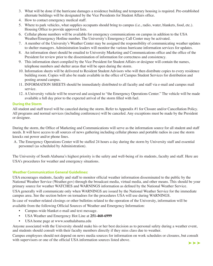- 3. What will be done if the hurricane damages a residence building and temporary housing is required. Pre-established alternate buildings will be designated by the Vice Presidents for Student Affairs office.
- 4. How to contact emergency medical staff.
- 5. Where to park vehicles, what supplies occupants should bring to campus (i.e., radio, water, blankets, food, etc.). Housing Office to provide approved lists.
- 6. Cellular phone numbers will be available for emergency communications on campus in addition to the USA Weather/Emergency Hotline number. The University's Emergency Call Center may be activated.
- 7. A member of the University's Weather Center may be assigned the responsibility of communicating weather updates to shelter managers. Administration leaders will monitor the various hurricane information services for updates.
- 8. An information sheet should be emailed to University Marketing and Communications office and the office of the President for review prior to the dissemination of information for correctness and consistency.
- 9. This information sheet compiled by the Vice President for Student Affairs or designee will contain the names, telephone numbers and shelter areas that will be open during the storm.
- 10. Information sheets will be delivered to Resident Student Advisors who will then distribute copies to every residence building room. Copies will also be made available in the office of Campus Student Services for distribution and posting around campus.
- 11. INFORMATION SHEETS should be immediately distributed to all faculty and staff via e-mail and campus mail service.
- 12. A University vehicle will be reserved and assigned to "the Emergency Operations Center." The vehicle will be made available a full day prior to the expected arrival of the storm filled with fuel.

## **During the Storm**

All student and staff travel will be canceled during the storm. Refer to Appendix #1 for Closure and/or Cancellation Policy. All programs and normal services (including conferences) will be canceled. Any exceptions must be made by the President or designee.

During the storm, the Office of Marketing and Communications will serve as the information source for all student and staff needs. It will have access to all sources of news gathering including cellular phones and portable radios in case the storm knocks out power and/or phone lines.

A. The Emergency Operations Center will be staffed 24 hours a day during the storm by University staff and essential personnel (as scheduled by Administration).

The University of South Alabama's highest priority is the safety and well-being of its students, faculty and staff. Here are USA's procedures for weather and emergency situations.

## **Weather Communication General Guidelines:**

USA encourages students, faculty and staff to monitor official weather information disseminated to the public by the National Weather Service ([Weather.gov\)](https://Weather.gov) through the broadcast media, virtual media, and other means. This should be your primary source for weather WATCHES and WARNINGS information as defined by the National Weather Service.

USA generally will communicate only when WARNINGS are issued by the National Weather Service for the immediate campus area. See the section below on tornadoes for the procedures USA will use during WARNINGS.

In case of weather-related closings or other bulletins related to the operation of the University, information will be available from the following Official Sources of Weather and Emergency Information:

- Campus-wide blanket e-mail and text message.
- USA Weather and Emergency Hot Line at **251-460-6999**
- USA home page at <www.southalabama.edu>

Anyone associated with the University should make his or her best decision as to personal safety during a weather event, and students should consult with their faculty members directly if they miss class due to weather.

Campus employees should not depend on news media sources for information on work schedules or closures, but consult with supervisors or one of the official USA information sources listed above.

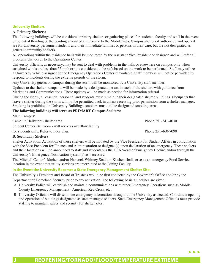## **University Shelters**

## **A. Primary Shelters:**

The following buildings will be considered primary shelters or gathering places for students, faculty and staff in the event of potential flooding or the pending arrival of a hurricane to the Mobile area. Campus shelters if authorized and opened are for University personnel, students and their immediate families or persons in their care, but are not designated as general community shelters.

All operations within the residence halls will be monitored by the Assistant Vice President or designee and will refer all problems that occur to the Operations Center.

University officials, as necessary, may be sent to deal with problems in the halls or elsewhere on campus only when sustained winds are less than 55 mph or it is considered to be safe based on the work to be performed. Staff may utilize a University vehicle assigned to the Emergency Operations Center if available. Staff members will not be permitted to respond to incidents during the extreme periods of the storm.

Any University guests on campus during the storm will be monitored by a University staff member.

Updates to the shelter occupants will be made by a designated person in each of the shelters with guidance from Marketing and Communications. These updates will be made as needed for information referral.

During the storm, all essential personnel and students must remain in their designated shelter buildings. Occupants that leave a shelter during the storm will not be permitted back in unless receiving prior permission from a shelter manager. Smoking is prohibited in University Buildings, smokers must utilize designated smoking areas.

#### **The following buildings will serve as PRIMARY Campus Shelters:**

| Main Campus:                                                                                                                                                                                                                                                                                                                              |                          |
|-------------------------------------------------------------------------------------------------------------------------------------------------------------------------------------------------------------------------------------------------------------------------------------------------------------------------------------------|--------------------------|
| Camellia Hall/storm shelter area                                                                                                                                                                                                                                                                                                          | Phone $251 - 341 - 4030$ |
| Student Center Ballroom - will serve as overflow facility                                                                                                                                                                                                                                                                                 |                          |
| for students only. Refer to floor plan.                                                                                                                                                                                                                                                                                                   | Phone 251-460-7090       |
| $\mathbf{D}$ , $\mathbf{C}$ , $\mathbf{L}$ , $\mathbf{L}$ , $\mathbf{L}$ , $\mathbf{C}$ , $\mathbf{L}$ , $\mathbf{L}$ , $\mathbf{L}$ , $\mathbf{L}$ , $\mathbf{L}$ , $\mathbf{L}$ , $\mathbf{L}$ , $\mathbf{L}$ , $\mathbf{L}$ , $\mathbf{L}$ , $\mathbf{L}$ , $\mathbf{L}$ , $\mathbf{L}$ , $\mathbf{L}$ , $\mathbf{L}$ , $\mathbf{L}$ , |                          |

## **B. Secondary Shelters:**

Shelter Activation: Activation of these shelters will be initiated by the Vice President for Student Affairs in coordination with the Vice President for Finance and Administration or designee(s) upon declaration of an emergency. These shelters and their locations will be announced to staff and students via the USA Weather/Emergency Hotline and/or through the University's Emergency Notification system(s) as necessary.

The Mitchell Center's kitchen and/or Hancock Whitney Stadium Kitchen shall serve as an emergency Food Service location in the event that utility services are interrupted at the Dining Facility.

## **In the Event the University Becomes a State Emergency Management Shelter Site:**

The University's President and Board of Trustees would be first contacted by the Governor's Office and/or by the

Department of Homeland Security prior to any activation. The following basic guidelines are given:

- A. University Police will establish and maintain communications with other Emergency Operations such as Mobile County Emergency Management - American Red Cross, etc.
- B. University Officials will disseminate emergency information throughout the University as needed. Coordinate opening and operation of buildings designated as state managed shelters. State Emergency Management Officials must provide staffing to maintain safety and security for shelter sites.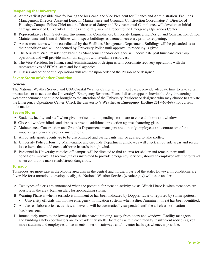## **Reopening the University**

- A. At the earliest possible time following the hurricane, the Vice President for Finance and Administration, Facilities Management Director, Assistant Director Maintenance and Grounds, Construction Coordinator(s), Director of Housing, Campus Police Chief and the Director of Safety and Environmental Compliance will develop an initial damage survey of University Buildings and jointly submit a report to the Emergency Operations Center.
- B. Representatives from Safety and Environmental Compliance, University Engineering Design and Construction Office, Maintenance and Central Utilities will inspect buildings as deemed necessary prior to reopening.
- C. Assessment teams will be coordinated by the Facilities Management Department. Buildings will be placarded as to their condition and will be secured by University Police until approval to reoccupy is given.
- D. The Assistant Vice President of Facilities Management and/or designee will coordinate post hurricane clean-up operations and will provide maximum support with available resources.
- E. The Vice President for Finance and Administration or designees will coordinate recovery operations with the representatives of FEMA, state and local agencies.
- F. Classes and other normal operations will resume upon order of the President or designee.

## **Severe Storm or Weather Condition**

## *General*

The National Weather Service and USA Coastal Weather Center will, in most cases, provide adequate time to take certain precautions or to activate the University's Emergency Response Plans if disaster appears inevitable. Any threatening weather phenomena should be brought to the attention of the University President or designee who may choose to activate the Emergency Operations Center. Check the University's **Weather & Emergency Hotline 251-460-6999** for current information.

#### **Severe Storm**

- A. Students, faculty and staff when given notice of an impending storm, are to close all doors and windows.
- B. Close all window blinds and drapes to provide additional protection against shattering glass.
- C. Maintenance, Construction and Grounds Departments managers are to notify employees and contractors of the impending storm and provide instructions.
- D. All outside sports events are to be discontinued and participants will be advised to take shelter.
- E. University Police, Housing, Maintenance and Grounds Department employees will check all outside areas and secure loose items that could create airborne hazards in high wind.
- F. Personnel in University vehicles off campus will be directed to find an area for shelter and remain there until conditions improve. At no time, unless instructed to provide emergency services, should an employee attempt to travel when conditions make roads/streets dangerous.

## **Tornado**

Tornadoes are more rare in the Mobile area than in the central and northern parts of the state. However, if conditions are favorable for a tornado to develop locally, the National Weather Service ([weather.gov](https://weather.gov)) will issue an alert.

- A. Two types of alerts are announced when the potential for tornado activity exists. Watch Phase is when tornadoes are possible in the area. Remain alert for approaching storm.
- B. Warning Phase is when a tornado is imminent or has been indicated by Doppler radar or reported by storm spotters.
	- University officials will initiate emergency notification systems when a direct/imminent threat has been identified.
- C. All classes, laboratories, activities, and events will be automatically suspended until the all-clear notification has been sent.
- D. Immediately move to the lowest point of the nearest building, away from doors and windows. Facility managers and building safety coordinators are to pre-identify shelter locations within each facility If sufficient notice is given, move students and employees to basements, interior stairways and/or center hallways whenever possible.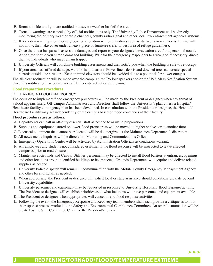- E. Remain inside until you are notified that severe weather has left the area.
- F. Tornado warnings are canceled by official notifications only. The University Police Department will be directly monitoring the primary weather radio channels, county radio signal and other local law enforcement agencies systems.
- G. If a sudden warning should occur, look for a location without windows such as stairwells or rest rooms. If time will not allow, then take cover under a heavy piece of furniture (refer to best area of refuge guidelines).
- H. Once the threat has passed, assess the damages and report to your designated evacuation area for a personnel count. At no time should you enter a damaged building. Wait for the emergency responders to arrive and if necessary, direct them to individuals who may remain trapped.
- I. University Officials will coordinate building assessments and then notify you when the building is safe to re-occupy.
- J. If your area has suffered damage, wait for help to arrive. Power lines, debris and downed trees can create special hazards outside the structure. Keep in mind elevators should be avoided due to a potential for power outages.

The all-clear notification will be made over the campus siren/PA loudspeakers and/or the USA Mass Notification System. Once this notification has been made, all University activities will resume.

## **Flood Preparation Procedures**

## DECLARING A FLOOD EMERGENCY

The decision to implement flood emergency procedures will be made by the President or designee when any threat of a flood appears likely. Off-campus Administrators and Directors shall follow the University's plan unless a Hospital/ Healthcare facility contingency plan has been developed. In consultation with the President or designee, the Hospital/ Healthcare facility may act independently of the campus based on flood conditions at their facility.

#### **Flood procedures are as follows:**

- A. Departments can call in off-duty essential staff as needed to assist in preparations.
- B. Supplies and equipment stored on lower flood prone areas will be moved to higher shelves or to another floor.
- C. Electrical equipment that cannot be relocated will be de-energized at the Maintenance Department's discretion.
- D. All news media inquiries will be directed to Marketing and Communications Office.
- E. Emergency Operations Center will be activated by Administration Officials as conditions warrant.
- F. All employees and students not considered essential to the flood response will be instructed to leave affected campuses prior to road closures.
- G. Maintenance, Grounds and Central Utilities personnel may be directed to install flood barriers at entrances, openings and other locations around identified buildings to be impacted. Grounds Department will acquire and deliver related supplies as needed.
- H. University Police dispatch will remain in communication with the Mobile County Emergency Management Agency and other local officials as needed.
- I. When appropriate, the President or designee will solicit local or state assistance should conditions escalate beyond University capabilities.
- J. University personnel and equipment may be requested in response to University Hospitals' flood response actions. The President or designee will establish priorities as to what locations will have personnel and equipment available.
- K. The President or designee when appropriate, will cancel or end flood response activities.
- L. Following the event, the Emergency Response and Recovery team members shall each provide a critique as to how the response process worked to the Safety and Environmental Compliance Committee. An overall summation will be created by the SEC Committee Chair for the President's review.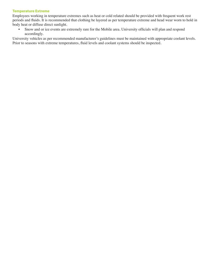#### **Temperature Extreme**

Employees working in temperature extremes such as heat or cold related should be provided with frequent work rest periods and fluids. It is recommended that clothing be layered as per temperature extreme and head wear worn to hold in body heat or diffuse direct sunlight.

• Snow and or ice events are extremely rare for the Mobile area. University officials will plan and respond accordingly.

University vehicles as per recommended manufacturer's guidelines must be maintained with appropriate coolant levels. Prior to seasons with extreme temperatures, fluid levels and coolant systems should be inspected.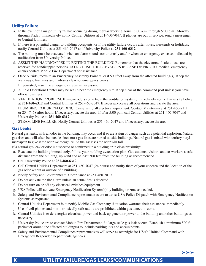## **Utility Failure**

- a. In the event of a major utility failure occurring during regular working hours (8:00 a.m. through 5:00 p.m., Monday through Friday) immediately notify Central Utilities at 251-460-7047. If phones are out of service, send a messenger to Central Utilities.
- b. If there is a potential danger to building occupants, or if the utility failure occurs after hours, weekends or holidays, notify Central Utilities at 251-460-7047 and University Police at **251-460-6312**.
- c. The building must be evacuated when an alarm sounds continuously and/or when an emergency exists as indicated by notification from University Police.
- d. ASSIST THE HANDICAPPED IN EXITING THE BUILDING! Remember that the elevators, if safe to use, are reserved for handicapped persons. DO NOT USE THE ELEVATORS IN CASE OF FIRE. If a medical emergency occurs contact Mobile Fire Department for assistance.
- e. Once outside, move to an Emergency Assembly Point at least 500 feet away from the affected building(s). Keep the walkways, fire lanes and hydrants clear for emergency crews.
- f. If requested, assist the emergency crews as necessary.
- g. A Field Operations Center may be set up near the emergency site. Keep clear of the command post unless you have official business.
- h. VENTILATION PROBLEM: If smoke odors come from the ventilation system, immediately notify University Police at **251-460-6312** and Central Utilities at 251-460-7047. If necessary, cease all operations and vacate the area.
- i. PLUMBING FAILURE/FLOODING: Cease using all electrical equipment. Contact Maintenance at 251-460-7111 or 234-7468 after hours. If necessary, vacate the area. If after 5:00 p.m. call Central Utilities at 251-460-7047 and University Police at **251-460-6312**.
- j. STEAM LINE FAILURE: Notify Central Utilities at 251-460-7047 and if necessary, vacate the area.

## **Gas Leaks**

Natural gas leaks, with an odor in the building, may occur and if so are a sign of danger such as a potential explosion. Natural gas rises and will often be outside since most gas lines are buried outside buildings. Natural gas is mixed with tertiary butyl mercaptan to give it the odor we recognize. As the gas rises the odor will fall.

If a natural gas leak or odor is suspected or confirmed in a building or in close proximity:

- a. Evacuate the building immediately, follow your building evacuation plan. Get students, visitors and co-workers a safe distance from the building, up wind and at least 500 feet from the building as recommended.
- b. Call University Police at **251-460-6312**.
- c. Call Central Utilities Department at 251-460-7047 (24 hours) and notify them of your concern and the location of the gas odor within or outside of a building.
- d. Notify Safety and Environmental Compliance at 251-460-7070.
- e. Do not activate the fire alarm unless an actual fire is detected.
- f. Do not turn on or off any electrical switches/equipment.
- g. USA Police will activate Emergency Notification System(s) by building or zone as needed.
- h. Safety and Environmental Compliance representatives are to assist USA Police Dispatch with Emergency Notification Systems as requested.
- i. Central Utilities Department is to notify Mobile Gas Company if situation warrants their assistance immediately.
- j. Use of cell phones and non-intrinsically safe radios are prohibited within gas detection zone.
- k. Central Utilities is to de-energize electrical power and back up generator power to the building and other buildings as necessary.
- l. University Police are to contact Mobile Fire Department if a large scale gas leak occurs. Establish a minimum 500 ft. perimeter around the affected building(s) to include parking lots and access points.
- m. Safety and Environmental Compliance representatives will serve as oversight for USA's Unified Command with Emergency Responder Departments/agencies.

# **K UTILITY FAILURE/GAS LEAKS/COMMUNICATIONS**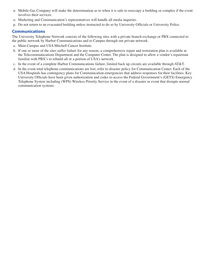- n. Mobile Gas Company will make the determination as to when it is safe to reoccupy a building or complex if the event involves their services.
- o. Marketing and Communication's representatives will handle all media inquiries.
- p. Do not return to an evacuated building unless instructed to do so by University Officials or University Police.

## **Communications**

The University Telephone Network consists of the following sites with a private branch exchange or PBX connected to the public network by Harbor Communications and to Campus through our private network.

- a. Main Campus and USA Mitchell Cancer Institute.
- b. If one or more of the sites suffer failure for any reason, a comprehensive repair and restoration plan is available at the Telecommunications Department and the Computer Center. The plan is designed to allow a vendor's repairman familiar with PBX's to rebuild all or a portion of USA's network.
- c. In the event of a complete Harbor Communications failure, limited back up circuits are available through AT&T.
- d. In the event total telephone communications are lost, refer to disaster policy for Communication Center. Each of the USA Hospitals has contingency plans for Communication emergencies that address responses for their facilities. Key University Officials have been given authorization and codes to access the Federal Government's (GETS) Emergency Telephone System including (WPS) Wireless Priority Service in the event of a disaster or event that disrupts normal communication systems.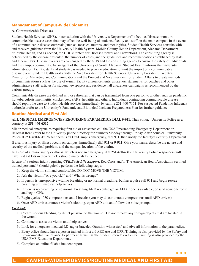## **Management of Campus-Wide Epidemics**

## **A. Communicable Diseases**

Student Health Services (SHS), in consultation with the University's Department of Infectious Disease, monitors communicable disease cases that may affect the well-being of students, faculty and staff on the main campus. In the event of a communicable disease outbreak (such as, measles, mumps, and meningitis), Student Health Services consults with and receives guidance from the University Health System, Mobile County Health Department, Alabama Department of Public Health, and as needed, the CDC (Centers for Disease Control and Prevention). The consulting agency is determined by the disease presented, the number of cases, and the guidelines and recommendations established by state and federal laws. Disease events are co-managed by the SHS and the consulting agency to ensure the safety of individuals and the campus community. As an agent of the University of South Alabama, Student Health informs the university administration, faculty, staff and students, as needed to provide education to limit the impact of a communicable disease event. Student Health works with the Vice President for Health Sciences, University President, Executive Director for Marketing and Communications and the Provost and Vice President for Student Affairs to create methods of communications such as the use of e-mail, faculty announcements, awareness statements for coaches and other administrative staff, articles for student newspapers and residence hall awareness campaigns as recommended by the various groups.

Communicable diseases are defined as those diseases that can be transmitted from one person to another such as pandemic flu, tuberculosis, meningitis, chickenpox, SARS, hepatitis and others. Individuals contracting communicable disease should report the case to Student Health services immediately by calling 251-460-7151. For suspected Pandemic Influenza outbreaks, refer to the University's Pandemic and Biological Incident Preparedness Plan for further guidance.

## **Routine Medical and First Aid**

**ALL MEDICAL EMERGENCIES REQUIRING PARAMEDICS DIAL 9-911.** Then contact University Police as a courtesy at **251-460-6312**.

Minor medical emergencies requiring first aid or assistance call the USA Freestanding Emergency Department on Hillcrest Road (refer to the University phone directory for number) Monday through Friday. After hours call university Police at 251-460-6312. When there is an Off-Campus emergency, dial 911, then notify the facility's Security Department.

If a serious injury or illness occurs on campus, immediately dial **911** or **9-911**. Give your name, describe the nature and severity of the medical problem, and the campus location of the victim.

In a case of a minor injury or illness, which is not an emergency, dial **251-460-6312**. University Police responders will have first aid kits in their vehicles should materials be needed.

In case of a serious injury requiring *CPR/Basic Life Support*, Red Cross and/or The American Heart Association certified trained personnel\* should quickly perform the following steps:

- 1. Keep the victim still and comfortable. DO NOT MOVE THE VICTIM.
- 2. Ask the victim, "Are you ok?" and "What is wrong?"
- 3. If person is unresponsive with no breathing or no normal breathing, but has a pulse call 911 and begin rescue breathing until medical help arrives.
- 4. If there is no breathing or no normal breathing AND no pulse get an AED if one is available, or send someone for it and begin CPR.
- 5. Begin cycles of 30 compressions and 2 breaths (you may do continuous compressions until AED arrives)
- 6. Once AED arrives, remove victim's clothing, open AED unit and follow the voice prompts.

#### *First Aid:*

- 1. Control serious bleeding by direct pressure on the wound. Do not remove any foreign objects that are located in the wound.
- 2. Continue to assist the victim until help arrives.
- 3. Look for emergency medical I.D. tag or bracelet. Question witness(es) and give all information to the paramedics.
- 4. Every office should have a person trained in first aid AED use and CPR. Training is also provided by the Safety and Environmental Compliance Department as well as the Student Recreation Center. Training is also provided by the USA EMS Education Department.
- 5. Complete an online fillable incident report.

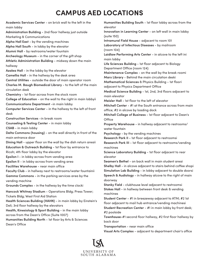# **CAMPUS AED LOCATIONS**

 **Alpha Hall East** - by the vending machines **Alpha Hall South** - in lobby by the elevator **Charles M**. **Baugh Biomedical Library** - to the left of the main **College of Education** - on the wall to the right in main lobbyii **Computer Services Center** - in the hallway to the left of front **Counseling & Testing Center** - in main lobby **Delta Commons (housing)** - on the wall directly in front of the **Education & Outreach Building** - 1st foor by entrance to **Hancock Whitney Stadium** - Operations Bldg; Press Tower; **Health Sciences Building (HAHN)** - in main lobby by Einstein's **Humanities Building North** - 1st floor by Arts & Sciences **Academic Services Center** - on brick wall to the left in the main lobby **Administration Building** - 2nd foor hallway just outside Marketing & Communications **Alumni Hall** - by restrooms/water fountain **Archeology Museum** - in the corner of the gift shop **Athletic Administration Building** - midway down the main hallway **Azalea Hall** - in the lobby by the elevator **Camellia Hall** - in the hallway by the desk area **Central Utilities** - outside the door of main operator room circulation desk **Chemistry** - 1st foor across from the stock room **Communications Department** - in main lobby desk **Construction Services** - in break room **CSAB** - in main lobby main entrance door Dining Hall - upper floor on the wall by the dish return areaii Ricoh; 4th floor lobby by the elevator **Epsilon I** - in lobby across from vending area **Epsilon II** - in lobby across from vending area **Facilities Warehouse** - near main office **Faculty Club** - in hallway next to restrooms/water fountainii **Gamma Commons** - in the parking services area by the vending machine **Grounds Complex** - in the hallway by the time clocki Tickets Bldg; West First Aid Station Deli; 3rd floor hallway by the elevators **Health, Kinesiology & Sport Building** - in the main lobby across from the Dean's Office (Suite 1007) Dean's Office

 **Humanities Building South** - 1st foor lobby across from the **Innovation in Learning Center** - on left wall in main lobby **Intramural Field House** - adjacent to room 101 **Laboratory of Infectious Diseases** - by mailroom **Laidlaw Performing Arts Center** - in alcove to the left ini **Life Sciences Building** - 1st foor adjacent to Biology **Medical Science Building** - 1st, 2nd, 3rd foors adjacent to **Mitchell College of Business** - 1st foor adjacent to Dean's **Research Park II - 1st floor adjacent to restroomsi Research Park III** - 1st floor adjacent to restrooms/vending **Simulation Lab Building** - in lobby adjacent to double doorsi **Speech & Audiology** - in hallway alcove to the right of main elevator (suite 150) (room 104) main lobby Department Office (room 124) **Maintenance Complex** - on the wall by the break roomi **Marx Library** - Behind the main circulation deski **Mathematical Sciences** & Physics Building - 1st foori adjacent to Physics Department Office main elevator **Meisler Hall** - 1st floor to the left of elevator **Mitchell Center** - #1 at the South entrance across from main office; #2 in alcove by loading dock Office **Property Warehouse** - in hallway adjacent to restrooms/ water fountain **Psychology** - by the vending machines machines **Science Laboratory Building** - 1st floor adjacent to rear elevator **Seamen's Bethel** - on back wall in main student areai **Shelby Hall** - in alcove adjacent to stairs behind coffee shopi doorway **Stanky Field** - clubhouse level adjacent to restroomsi **Stokes Hall** - in hallway between front desk & vending machines **Student Center** - #1 in breezeway adjacent to ATM; #2 1st foor adjacent to mail hub entrance/vending machinesi **Student Recreation Center** - #1 in main lobby by front desk; #2 poolside **Townhouse-**#1 second floor hallway, #2 first floor hallway by back door

**Transportation** - near main office

**Visual Arts Complex** - adjacent to department chair's office